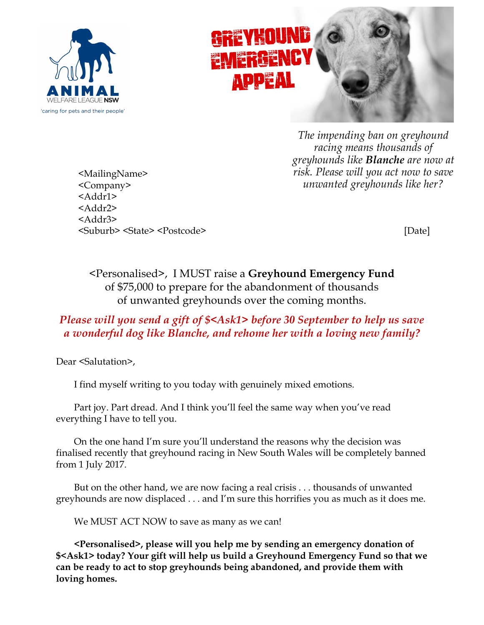



*The impending ban on greyhound racing means thousands of greyhounds like Blanche are now at risk. Please will you act now to save unwanted greyhounds like her?*

<MailingName> <Company> <Addr1> <Addr2> <Addr3> <Suburb> <State> <Postcode> [Date]

<Personalised>, I MUST raise a **Greyhound Emergency Fund** of \$75,000 to prepare for the abandonment of thousands of unwanted greyhounds over the coming months.

## *Please will you send a gift of \$<Ask1> before 30 September to help us save a wonderful dog like Blanche, and rehome her with a loving new family?*

Dear <Salutation>,

I find myself writing to you today with genuinely mixed emotions.

Part joy. Part dread. And I think you'll feel the same way when you've read everything I have to tell you.

On the one hand I'm sure you'll understand the reasons why the decision was finalised recently that greyhound racing in New South Wales will be completely banned from 1 July 2017.

But on the other hand, we are now facing a real crisis . . . thousands of unwanted greyhounds are now displaced . . . and I'm sure this horrifies you as much as it does me.

We MUST ACT NOW to save as many as we can!

**<Personalised>, please will you help me by sending an emergency donation of \$<Ask1> today? Your gift will help us build a Greyhound Emergency Fund so that we can be ready to act to stop greyhounds being abandoned, and provide them with loving homes.**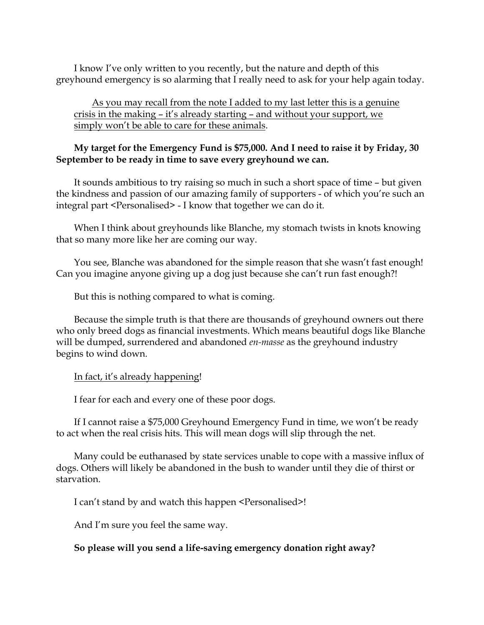I know I've only written to you recently, but the nature and depth of this greyhound emergency is so alarming that I really need to ask for your help again today.

As you may recall from the note I added to my last letter this is a genuine crisis in the making – it's already starting – and without your support, we simply won't be able to care for these animals.

## **My target for the Emergency Fund is \$75,000. And I need to raise it by Friday, 30 September to be ready in time to save every greyhound we can.**

It sounds ambitious to try raising so much in such a short space of time – but given the kindness and passion of our amazing family of supporters - of which you're such an integral part <Personalised> - I know that together we can do it.

When I think about greyhounds like Blanche, my stomach twists in knots knowing that so many more like her are coming our way.

You see, Blanche was abandoned for the simple reason that she wasn't fast enough! Can you imagine anyone giving up a dog just because she can't run fast enough?!

But this is nothing compared to what is coming.

Because the simple truth is that there are thousands of greyhound owners out there who only breed dogs as financial investments. Which means beautiful dogs like Blanche will be dumped, surrendered and abandoned *en-masse* as the greyhound industry begins to wind down.

In fact, it's already happening!

I fear for each and every one of these poor dogs.

If I cannot raise a \$75,000 Greyhound Emergency Fund in time, we won't be ready to act when the real crisis hits. This will mean dogs will slip through the net.

Many could be euthanased by state services unable to cope with a massive influx of dogs. Others will likely be abandoned in the bush to wander until they die of thirst or starvation.

I can't stand by and watch this happen <Personalised>!

And I'm sure you feel the same way.

## **So please will you send a life-saving emergency donation right away?**